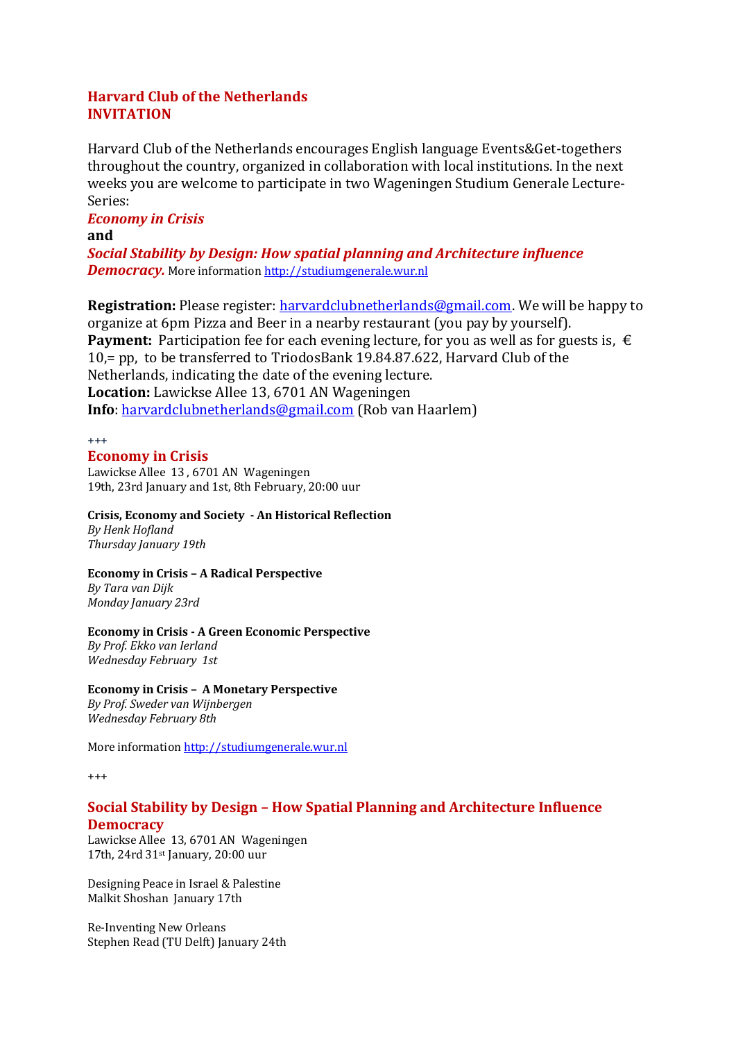# **Harvard Club of the Netherlands INVITATION**

Harvard Club of the Netherlands encourages English language Events&Get-togethers throughout the country, organized in collaboration with local institutions. In the next weeks you are welcome to participate in two Wageningen Studium Generale Lecture-Series:

# *Economy in Crisis*

#### **and**

*Social Stability by Design: How spatial planning and Architecture influence Democracy.* More information [http://studiumgenerale.wur.nl](http://studiumgenerale.wur.nl/)

**Registration:** Please register: [harvardclubnetherlands@gmail.com.](mailto:harvardclubnetherlands@gmail.com) We will be happy to organize at 6pm Pizza and Beer in a nearby restaurant (you pay by yourself). **Payment:** Participation fee for each evening lecture, for you as well as for guests is,  $\epsilon$ 10,= pp, to be transferred to TriodosBank 19.84.87.622, Harvard Club of the Netherlands, indicating the date of the evening lecture. **Location:** Lawickse Allee 13, 6701 AN Wageningen **Info**: [harvardclubnetherlands@gmail.com](mailto:harvardclubnetherlands@gmail.com) (Rob van Haarlem)

#### $^{+++}$

# **Economy in Crisis**

Lawickse Allee 13 , 6701 AN Wageningen 19th, 23rd January and 1st, 8th February, 20:00 uur

# **Crisis, Economy and Society - An Historical Reflection**

*By Henk Hofland Thursday January 19th*

### **Economy in Crisis – A Radical Perspective**

*By Tara van Dijk Monday January 23rd* 

### **Economy in Crisis - A Green Economic Perspective**

*By Prof. Ekko van Ierland Wednesday February 1st* 

### **Economy in Crisis – A Monetary Perspective**

*By Prof. Sweder van Wijnbergen Wednesday February 8th*

More information [http://studiumgenerale.wur.nl](http://studiumgenerale.wur.nl/)

+++

# **Social Stability by Design – How Spatial Planning and Architecture Influence Democracy**

Lawickse Allee 13, 6701 AN Wageningen 17th, 24rd 31st January, 20:00 uur

Designing Peace in Israel & Palestine Malkit Shoshan January 17th

Re-Inventing New Orleans Stephen Read (TU Delft) January 24th